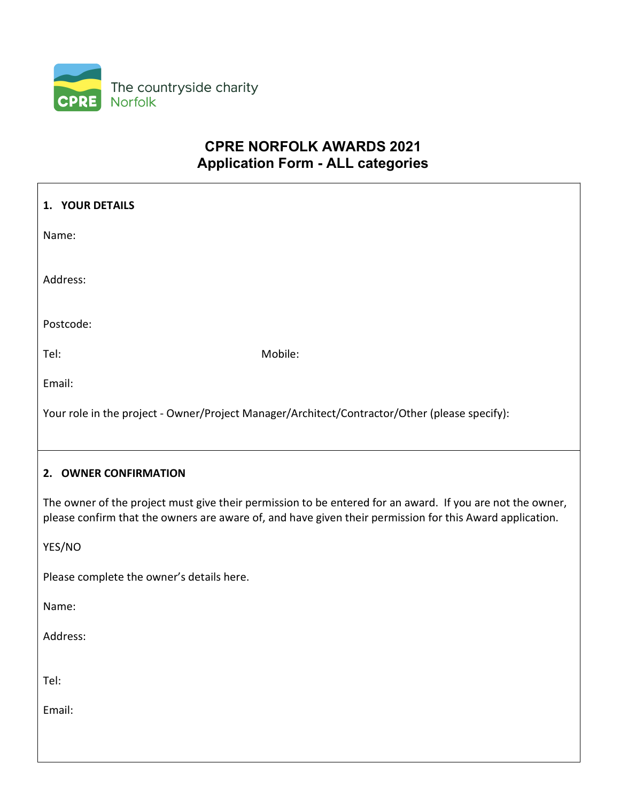

# CPRE NORFOLK AWARDS 2021 Application Form - ALL categories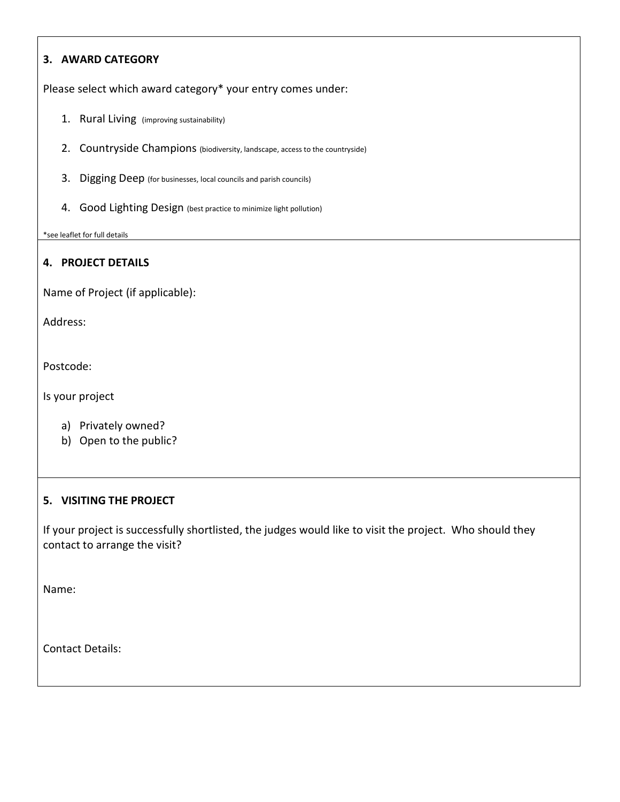## 3. AWARD CATEGORY

Please select which award category\* your entry comes under:

- 1. Rural Living (improving sustainability)
- 2. Countryside Champions (biodiversity, landscape, access to the countryside)
- 3. Digging Deep (for businesses, local councils and parish councils)
- 4. Good Lighting Design (best practice to minimize light pollution)

\*see leaflet for full details

### 4. PROJECT DETAILS

Name of Project (if applicable):

Address:

Postcode:

Is your project

- a) Privately owned?
- b) Open to the public?

#### 5. VISITING THE PROJECT

If your project is successfully shortlisted, the judges would like to visit the project. Who should they contact to arrange the visit?

Name:

Contact Details: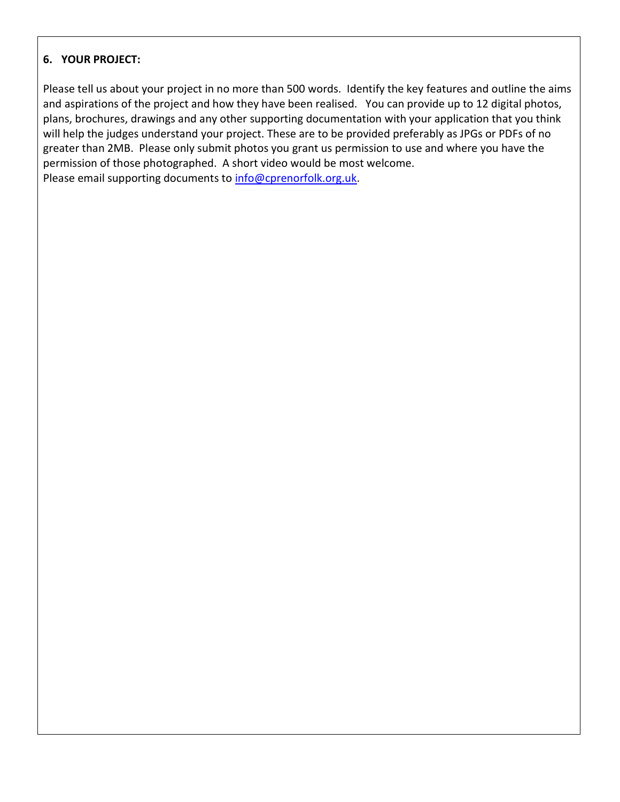## 6. YOUR PROJECT:

Please tell us about your project in no more than 500 words. Identify the key features and outline the aims and aspirations of the project and how they have been realised. You can provide up to 12 digital photos, plans, brochures, drawings and any other supporting documentation with your application that you think will help the judges understand your project. These are to be provided preferably as JPGs or PDFs of no greater than 2MB. Please only submit photos you grant us permission to use and where you have the permission of those photographed. A short video would be most welcome. Please email supporting documents to info@cprenorfolk.org.uk.